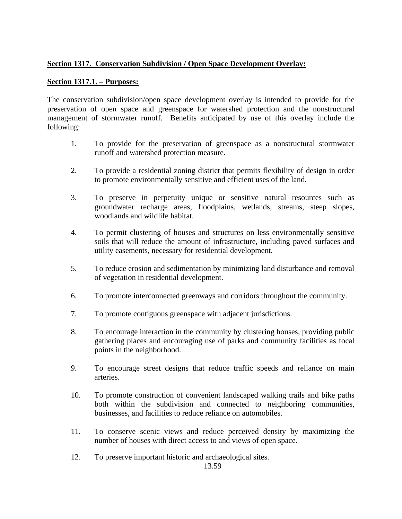## **Section 1317. Conservation Subdivision / Open Space Development Overlay:**

## **Section 1317.1. – Purposes:**

The conservation subdivision/open space development overlay is intended to provide for the preservation of open space and greenspace for watershed protection and the nonstructural management of stormwater runoff. Benefits anticipated by use of this overlay include the following:

- 1. To provide for the preservation of greenspace as a nonstructural stormwater runoff and watershed protection measure.
- 2. To provide a residential zoning district that permits flexibility of design in order to promote environmentally sensitive and efficient uses of the land.
- 3. To preserve in perpetuity unique or sensitive natural resources such as groundwater recharge areas, floodplains, wetlands, streams, steep slopes, woodlands and wildlife habitat.
- 4. To permit clustering of houses and structures on less environmentally sensitive soils that will reduce the amount of infrastructure, including paved surfaces and utility easements, necessary for residential development.
- 5. To reduce erosion and sedimentation by minimizing land disturbance and removal of vegetation in residential development.
- 6. To promote interconnected greenways and corridors throughout the community.
- 7. To promote contiguous greenspace with adjacent jurisdictions.
- 8. To encourage interaction in the community by clustering houses, providing public gathering places and encouraging use of parks and community facilities as focal points in the neighborhood.
- 9. To encourage street designs that reduce traffic speeds and reliance on main arteries.
- 10. To promote construction of convenient landscaped walking trails and bike paths both within the subdivision and connected to neighboring communities, businesses, and facilities to reduce reliance on automobiles.
- 11. To conserve scenic views and reduce perceived density by maximizing the number of houses with direct access to and views of open space.
- 12. To preserve important historic and archaeological sites.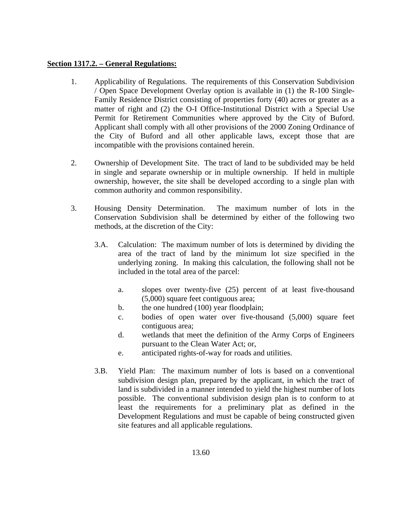### **Section 1317.2. – General Regulations:**

- 1. Applicability of Regulations. The requirements of this Conservation Subdivision / Open Space Development Overlay option is available in (1) the R-100 Single-Family Residence District consisting of properties forty (40) acres or greater as a matter of right and (2) the O-I Office-Institutional District with a Special Use Permit for Retirement Communities where approved by the City of Buford. Applicant shall comply with all other provisions of the 2000 Zoning Ordinance of the City of Buford and all other applicable laws, except those that are incompatible with the provisions contained herein.
- 2. Ownership of Development Site. The tract of land to be subdivided may be held in single and separate ownership or in multiple ownership. If held in multiple ownership, however, the site shall be developed according to a single plan with common authority and common responsibility.
- 3. Housing Density Determination. The maximum number of lots in the Conservation Subdivision shall be determined by either of the following two methods, at the discretion of the City:
	- 3.A. Calculation: The maximum number of lots is determined by dividing the area of the tract of land by the minimum lot size specified in the underlying zoning. In making this calculation, the following shall not be included in the total area of the parcel:
		- a. slopes over twenty-five (25) percent of at least five-thousand (5,000) square feet contiguous area;
		- b. the one hundred (100) year floodplain;
		- c. bodies of open water over five-thousand (5,000) square feet contiguous area;
		- d. wetlands that meet the definition of the Army Corps of Engineers pursuant to the Clean Water Act; or,
		- e. anticipated rights-of-way for roads and utilities.
	- 3.B. Yield Plan: The maximum number of lots is based on a conventional subdivision design plan, prepared by the applicant, in which the tract of land is subdivided in a manner intended to yield the highest number of lots possible. The conventional subdivision design plan is to conform to at least the requirements for a preliminary plat as defined in the Development Regulations and must be capable of being constructed given site features and all applicable regulations.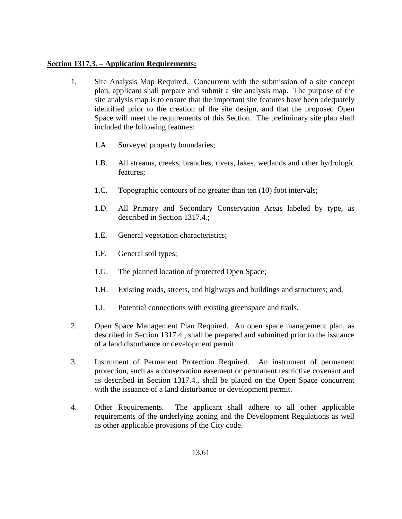#### **Section 1317.3. – Application Requirements:**

- 1. Site Analysis Map Required. Concurrent with the submission of a site concept plan, applicant shall prepare and submit a site analysis map. The purpose of the site analysis map is to ensure that the important site features have been adequately identified prior to the creation of the site design, and that the proposed Open Space will meet the requirements of this Section. The preliminary site plan shall included the following features:
	- 1.A. Surveyed property boundaries;
	- 1.B. All streams, creeks, branches, rivers, lakes, wetlands and other hydrologic features;
	- 1.C. Topographic contours of no greater than ten (10) foot intervals;
	- 1.D. All Primary and Secondary Conservation Areas labeled by type, as described in Section 1317.4.;
	- 1.E. General vegetation characteristics;
	- 1.F. General soil types;
	- 1.G. The planned location of protected Open Space;
	- 1.H. Existing roads, streets, and highways and buildings and structures; and,
	- 1.I. Potential connections with existing greenspace and trails.
- 2. Open Space Management Plan Required. An open space management plan, as described in Section 1317.4., shall be prepared and submitted prior to the issuance of a land disturbance or development permit.
- 3. Instrument of Permanent Protection Required. An instrument of permanent protection, such as a conservation easement or permanent restrictive covenant and as described in Section 1317.4., shall be placed on the Open Space concurrent with the issuance of a land disturbance or development permit.
- 4. Other Requirements. The applicant shall adhere to all other applicable requirements of the underlying zoning and the Development Regulations as well as other applicable provisions of the City code.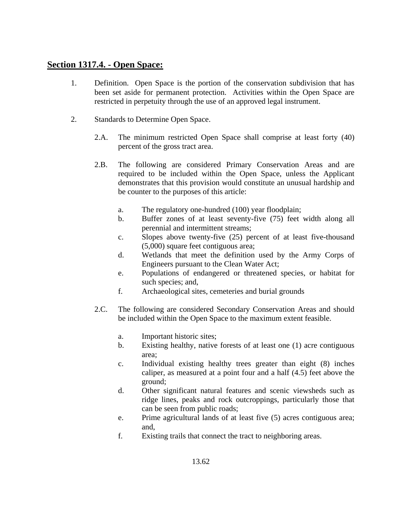# **Section 1317.4. - Open Space:**

- 1. Definition. Open Space is the portion of the conservation subdivision that has been set aside for permanent protection. Activities within the Open Space are restricted in perpetuity through the use of an approved legal instrument.
- 2. Standards to Determine Open Space.
	- 2.A. The minimum restricted Open Space shall comprise at least forty (40) percent of the gross tract area.
	- 2.B. The following are considered Primary Conservation Areas and are required to be included within the Open Space, unless the Applicant demonstrates that this provision would constitute an unusual hardship and be counter to the purposes of this article:
		- a. The regulatory one-hundred (100) year floodplain;
		- b. Buffer zones of at least seventy-five (75) feet width along all perennial and intermittent streams;
		- c. Slopes above twenty-five (25) percent of at least five-thousand (5,000) square feet contiguous area;
		- d. Wetlands that meet the definition used by the Army Corps of Engineers pursuant to the Clean Water Act;
		- e. Populations of endangered or threatened species, or habitat for such species; and,
		- f. Archaeological sites, cemeteries and burial grounds
	- 2.C. The following are considered Secondary Conservation Areas and should be included within the Open Space to the maximum extent feasible.
		- a. Important historic sites;
		- b. Existing healthy, native forests of at least one (1) acre contiguous area;
		- c. Individual existing healthy trees greater than eight (8) inches caliper, as measured at a point four and a half (4.5) feet above the ground;
		- d. Other significant natural features and scenic viewsheds such as ridge lines, peaks and rock outcroppings, particularly those that can be seen from public roads;
		- e. Prime agricultural lands of at least five (5) acres contiguous area; and,
		- f. Existing trails that connect the tract to neighboring areas.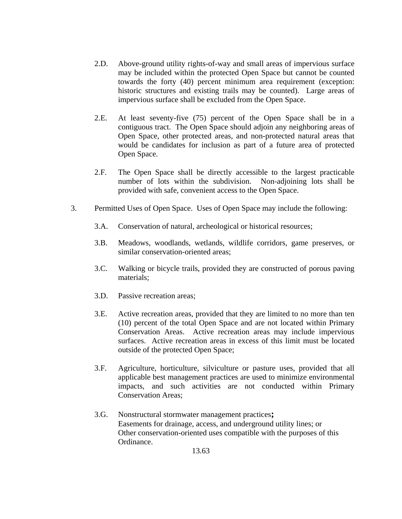- 2.D. Above-ground utility rights-of-way and small areas of impervious surface may be included within the protected Open Space but cannot be counted towards the forty (40) percent minimum area requirement (exception: historic structures and existing trails may be counted). Large areas of impervious surface shall be excluded from the Open Space.
- 2.E. At least seventy-five (75) percent of the Open Space shall be in a contiguous tract. The Open Space should adjoin any neighboring areas of Open Space, other protected areas, and non-protected natural areas that would be candidates for inclusion as part of a future area of protected Open Space.
- 2.F. The Open Space shall be directly accessible to the largest practicable number of lots within the subdivision. Non-adjoining lots shall be provided with safe, convenient access to the Open Space.
- 3. Permitted Uses of Open Space. Uses of Open Space may include the following:
	- 3.A. Conservation of natural, archeological or historical resources;
	- 3.B. Meadows, woodlands, wetlands, wildlife corridors, game preserves, or similar conservation-oriented areas;
	- 3.C. Walking or bicycle trails, provided they are constructed of porous paving materials;
	- 3.D. Passive recreation areas;
	- 3.E. Active recreation areas, provided that they are limited to no more than ten (10) percent of the total Open Space and are not located within Primary Conservation Areas. Active recreation areas may include impervious surfaces. Active recreation areas in excess of this limit must be located outside of the protected Open Space;
	- 3.F. Agriculture, horticulture, silviculture or pasture uses, provided that all applicable best management practices are used to minimize environmental impacts, and such activities are not conducted within Primary Conservation Areas;
	- 3.G. Nonstructural stormwater management practices**;**  Easements for drainage, access, and underground utility lines; or Other conservation-oriented uses compatible with the purposes of this Ordinance.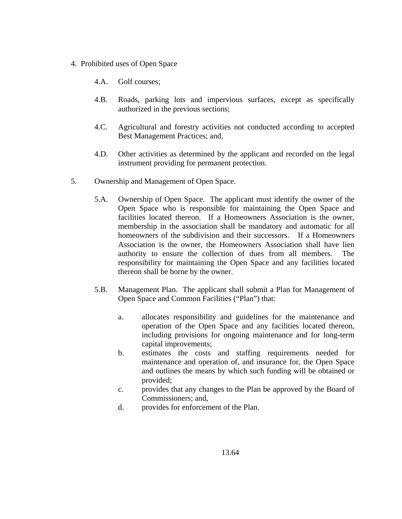- 4. Prohibited uses of Open Space
	- 4.A. Golf courses;
	- 4.B. Roads, parking lots and impervious surfaces, except as specifically authorized in the previous sections;
	- 4.C. Agricultural and forestry activities not conducted according to accepted Best Management Practices; and,
	- 4.D. Other activities as determined by the applicant and recorded on the legal instrument providing for permanent protection.
- 5. Ownership and Management of Open Space.
	- 5.A. Ownership of Open Space. The applicant must identify the owner of the Open Space who is responsible for maintaining the Open Space and facilities located thereon. If a Homeowners Association is the owner, membership in the association shall be mandatory and automatic for all homeowners of the subdivision and their successors. If a Homeowners Association is the owner, the Homeowners Association shall have lien authority to ensure the collection of dues from all members. The responsibility for maintaining the Open Space and any facilities located thereon shall be borne by the owner.
	- 5.B. Management Plan. The applicant shall submit a Plan for Management of Open Space and Common Facilities ("Plan") that:
		- a. allocates responsibility and guidelines for the maintenance and operation of the Open Space and any facilities located thereon, including provisions for ongoing maintenance and for long-term capital improvements;
		- b. estimates the costs and staffing requirements needed for maintenance and operation of, and insurance for, the Open Space and outlines the means by which such funding will be obtained or provided;
		- c. provides that any changes to the Plan be approved by the Board of Commissioners; and,
		- d. provides for enforcement of the Plan.